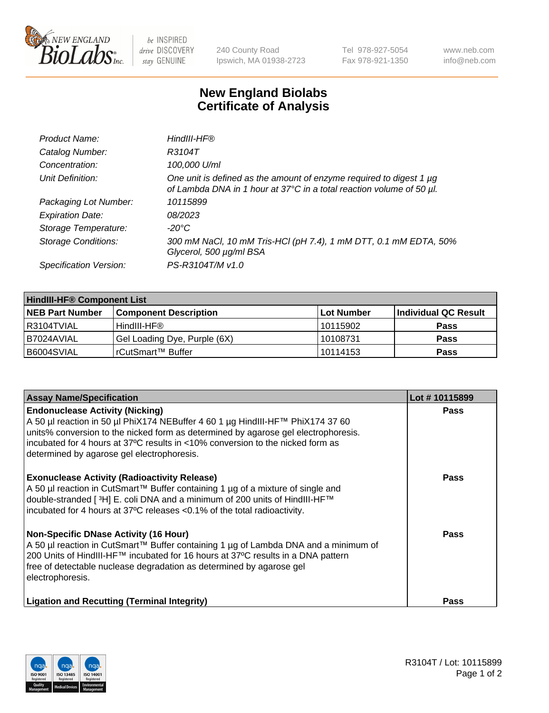

 $be$  INSPIRED drive DISCOVERY stay GENUINE

240 County Road Ipswich, MA 01938-2723 Tel 978-927-5054 Fax 978-921-1350 www.neb.com info@neb.com

## **New England Biolabs Certificate of Analysis**

| Product Name:              | HindIII-HF®                                                                                                                                 |
|----------------------------|---------------------------------------------------------------------------------------------------------------------------------------------|
| Catalog Number:            | R3104T                                                                                                                                      |
| Concentration:             | 100,000 U/ml                                                                                                                                |
| Unit Definition:           | One unit is defined as the amount of enzyme required to digest 1 µg<br>of Lambda DNA in 1 hour at 37°C in a total reaction volume of 50 µl. |
| Packaging Lot Number:      | 10115899                                                                                                                                    |
| <b>Expiration Date:</b>    | 08/2023                                                                                                                                     |
| Storage Temperature:       | $-20^{\circ}$ C                                                                                                                             |
| <b>Storage Conditions:</b> | 300 mM NaCl, 10 mM Tris-HCl (pH 7.4), 1 mM DTT, 0.1 mM EDTA, 50%<br>Glycerol, 500 µg/ml BSA                                                 |
| Specification Version:     | PS-R3104T/M v1.0                                                                                                                            |

| <b>HindIII-HF® Component List</b> |                              |                   |                      |  |  |
|-----------------------------------|------------------------------|-------------------|----------------------|--|--|
| <b>NEB Part Number</b>            | <b>Component Description</b> | <b>Lot Number</b> | Individual QC Result |  |  |
| I R3104TVIAL                      | HindIII-HF®                  | 10115902          | <b>Pass</b>          |  |  |
| B7024AVIAL                        | Gel Loading Dye, Purple (6X) | 10108731          | <b>Pass</b>          |  |  |
| B6004SVIAL                        | l rCutSmart™ Buffer          | 10114153          | <b>Pass</b>          |  |  |

| <b>Assay Name/Specification</b>                                                                                                                                                                                                                                                                                                                | Lot #10115899 |
|------------------------------------------------------------------------------------------------------------------------------------------------------------------------------------------------------------------------------------------------------------------------------------------------------------------------------------------------|---------------|
| <b>Endonuclease Activity (Nicking)</b><br>A 50 µl reaction in 50 µl PhiX174 NEBuffer 4 60 1 µg HindIII-HF™ PhiX174 37 60<br>units% conversion to the nicked form as determined by agarose gel electrophoresis.<br>incubated for 4 hours at 37°C results in <10% conversion to the nicked form as<br>determined by agarose gel electrophoresis. | <b>Pass</b>   |
| <b>Exonuclease Activity (Radioactivity Release)</b><br>A 50 µl reaction in CutSmart™ Buffer containing 1 µg of a mixture of single and<br>double-stranded [3H] E. coli DNA and a minimum of 200 units of HindIII-HF™<br>incubated for 4 hours at 37°C releases <0.1% of the total radioactivity.                                               | <b>Pass</b>   |
| <b>Non-Specific DNase Activity (16 Hour)</b><br>A 50 µl reaction in CutSmart™ Buffer containing 1 µg of Lambda DNA and a minimum of<br>200 Units of HindIII-HF™ incubated for 16 hours at 37°C results in a DNA pattern<br>free of detectable nuclease degradation as determined by agarose gel<br>electrophoresis.                            | Pass          |
| <b>Ligation and Recutting (Terminal Integrity)</b>                                                                                                                                                                                                                                                                                             | <b>Pass</b>   |